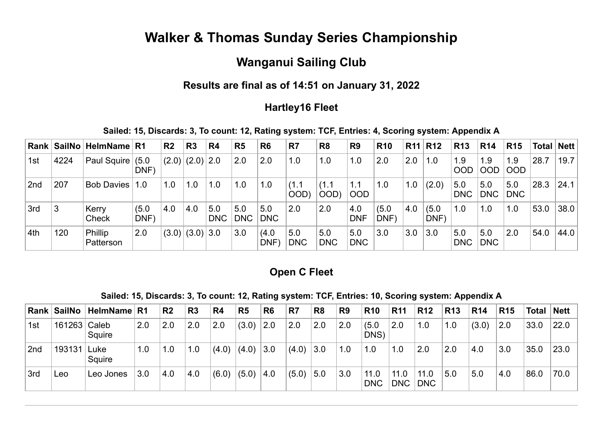# **Walker & Thomas Sunday Series Championship**

## **Wanganui Sailing Club**

## **Results are final as of 14:51 on January 31, 2022**

### **Hartley16 Fleet**

#### **Sailed: 15, Discards: 3, To count: 12, Rating system: TCF, Entries: 4, Scoring system: Appendix A**

|                 |      | Rank   SailNo   HelmName   R1 |               | R <sub>2</sub> | R <sub>3</sub>      | R <sub>4</sub>    | R <sub>5</sub>    | R <sub>6</sub>      | R <sub>7</sub>    | R <sub>8</sub>    | R <sub>9</sub>    | <b>R10</b>   | R11 R12 |               | <b>R13</b>        | <b>R14</b>        | <b>R15</b>        | Total   Nett |      |
|-----------------|------|-------------------------------|---------------|----------------|---------------------|-------------------|-------------------|---------------------|-------------------|-------------------|-------------------|--------------|---------|---------------|-------------------|-------------------|-------------------|--------------|------|
| 1st             | 4224 | <b>Paul Squire</b>            | (5.0)<br>DNF) | (2.0)          | (2.0) 2.0           |                   | 2.0               | 2.0                 | 1.0               | 1.0               | 1.0               | 2.0          | 2.0     | 1.0           | 1.9<br><b>OOD</b> | 1.9<br><b>OOD</b> | 1.9<br> OOD       | 28.7         | 19.7 |
| 2 <sub>nd</sub> | 207  | <b>Bob Davies</b>             | 1.0           | 1.0            | 1.0                 | 1.0               | 1.0               | 1.0                 | (1.1)<br>OOD)     | (1.1)<br>OOD)     | 1.1<br><b>OOD</b> | 1.0          | 1.0     | (2.0)         | 5.0<br><b>DNC</b> | 5.0<br><b>DNC</b> | 5.0<br><b>DNC</b> | 28.3         | 24.1 |
| 3rd             | 3    | Kerry<br>Check                | (5.0)<br>DNF) | 4.0            | 4.0                 | 5.0<br><b>DNC</b> | 5.0<br><b>DNC</b> | 5.0<br><b>DNC</b>   | 2.0               | 2.0               | 4.0<br><b>DNF</b> | (5.0)<br>DNF | 4.0     | (5.0)<br>DNF) | 1.0               | 1.0               | 1.0               | 53.0         | 38.0 |
| 4th             | 120  | Phillip<br>Patterson          | 2.0           |                | $(3.0)$ $(3.0)$ 3.0 |                   | 3.0               | (4.0)<br><b>DNF</b> | 5.0<br><b>DNC</b> | 5.0<br><b>DNC</b> | 5.0<br><b>DNC</b> | 3.0          | 3.0     | 3.0           | 5.0<br><b>DNC</b> | 5.0<br><b>DNC</b> | 2.0               | 54.0         | 44.0 |

## **Open C Fleet**

#### **Sailed: 15, Discards: 3, To count: 12, Rating system: TCF, Entries: 10, Scoring system: Appendix A**

|                 |              | Rank   SailNo   HelmName   R1 |     | R <sub>2</sub> | $\overline{\mathsf{R}}$ 3 | R4    | R <sub>5</sub> | R <sub>6</sub> | R7    | R <sub>8</sub> | R <sub>9</sub> | <b>R10</b>         | <b>R11</b>         | <b>R12</b>         | <b>R13</b> | <b>R14</b> | <b>R15</b> |      | Total Nett |
|-----------------|--------------|-------------------------------|-----|----------------|---------------------------|-------|----------------|----------------|-------|----------------|----------------|--------------------|--------------------|--------------------|------------|------------|------------|------|------------|
| 1st             | 161263 Caleb | Squire                        | 2.0 | 2.0            | 2.0                       | 2.0   | (3.0)          | 2.0            | 2.0   | 2.0            | 2.0            | (5.0)<br>DNS)      | 2.0                | 1.0                | 1.0        | (3.0)      | 2.0        | 33.0 | 22.0       |
| 2 <sub>nd</sub> | 193131       | Luke<br>Squire                | 1.0 | 1.0            | 1.0                       | (4.0) | (4.0)          | 3.0            | (4.0) | 3.0            | 1.0            | 1.0                | 1.0                | 2.0                | 2.0        | 4.0        | 3.0        | 35.0 | 23.0       |
| 3rd             | Leo          | Leo Jones                     | 3.0 | 4.0            | 4.0                       | (6.0) | (5.0)          | 4.0            | (5.0) | 5.0            | 3.0            | 11.0<br><b>DNC</b> | 11.0<br><b>DNC</b> | 11.0<br><b>DNC</b> | 5.0        | 5.0        | 4.0        | 86.0 | 70.0       |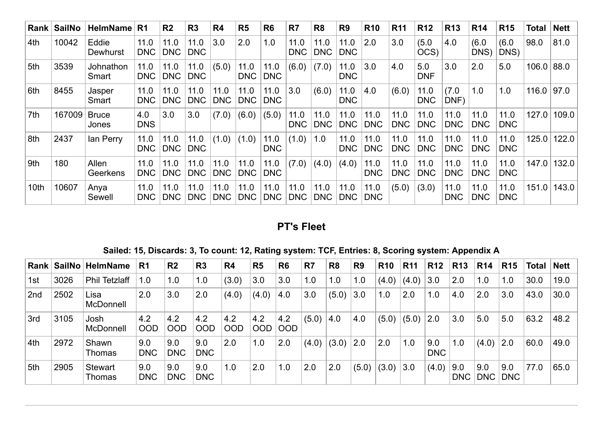| Rank | <b>SailNo</b> | HelmName              | R <sub>1</sub>     | R <sub>2</sub>     | R <sub>3</sub>     | R <sub>4</sub>     | R5                 | R <sub>6</sub>     | R7                 | R <sub>8</sub>     | R <sub>9</sub>     | <b>R10</b>         | R <sub>11</sub>    | <b>R12</b>         | <b>R13</b>         | <b>R14</b>         | <b>R15</b>         | Total | <b>Nett</b> |
|------|---------------|-----------------------|--------------------|--------------------|--------------------|--------------------|--------------------|--------------------|--------------------|--------------------|--------------------|--------------------|--------------------|--------------------|--------------------|--------------------|--------------------|-------|-------------|
| 4th  | 10042         | Eddie<br>Dewhurst     | 11.0<br><b>DNC</b> | 11.0<br><b>DNC</b> | 11.0<br><b>DNC</b> | 3.0                | 2.0                | 1.0                | 11.0<br><b>DNC</b> | 11.0<br><b>DNC</b> | 11.0<br><b>DNC</b> | 2.0                | 3.0                | (5.0)<br>OCS)      | 4.0                | (6.0)<br>DNS)      | (6.0)<br>DNS)      | 98.0  | 81.0        |
| 5th  | 3539          | Johnathon<br>Smart    | 11.0<br><b>DNC</b> | 11.0<br><b>DNC</b> | 11.0<br><b>DNC</b> | (5.0)              | 11.0<br><b>DNC</b> | 11.0<br><b>DNC</b> | (6.0)              | (7.0)              | 11.0<br><b>DNC</b> | 3.0                | 4.0                | 5.0<br><b>DNF</b>  | 3.0                | 2.0                | 5.0                | 106.0 | 88.0        |
| 6th  | 8455          | Jasper<br>Smart       | 11.0<br><b>DNC</b> | 11.0<br><b>DNC</b> | 11.0<br><b>DNC</b> | 11.0<br><b>DNC</b> | 11.0<br><b>DNC</b> | 11.0<br><b>DNC</b> | 3.0                | (6.0)              | 11.0<br><b>DNC</b> | 4.0                | (6.0)              | 11.0<br><b>DNC</b> | (7.0)<br>DNF)      | 1.0                | 1.0                | 116.0 | 97.0        |
| 7th  | 167009        | <b>Bruce</b><br>Jones | 4.0<br><b>DNS</b>  | 3.0                | 3.0                | (7.0)              | (6.0)              | (5.0)              | 11.0<br><b>DNC</b> | 11.0<br><b>DNC</b> | 11.0<br><b>DNC</b> | 11.0<br><b>DNC</b> | 11.0<br><b>DNC</b> | 11.0<br><b>DNC</b> | 11.0<br><b>DNC</b> | 11.0<br><b>DNC</b> | 11.0<br><b>DNC</b> | 127.0 | 109.0       |
| ∣8th | 2437          | lan Perry             | 11.0<br><b>DNC</b> | 11.0<br><b>DNC</b> | 11.0<br><b>DNC</b> | (1.0)              | (1.0)              | 11.0<br><b>DNC</b> | (1.0)              | $\vert$ 1.0        | 11.0<br><b>DNC</b> | 11.0<br><b>DNC</b> | 11.0<br><b>DNC</b> | 11.0<br><b>DNC</b> | 11.0<br><b>DNC</b> | 11.0<br><b>DNC</b> | 11.0<br><b>DNC</b> | 125.0 | 122.0       |
| 9th  | 180           | Allen<br>Geerkens     | 11.0<br><b>DNC</b> | 11.0<br><b>DNC</b> | 11.0<br><b>DNC</b> | 11.0<br><b>DNC</b> | 11.0<br><b>DNC</b> | 11.0<br><b>DNC</b> | (7.0)              | (4.0)              | (4.0)              | 11.0<br><b>DNC</b> | 11.0<br><b>DNC</b> | 11.0<br><b>DNC</b> | 11.0<br><b>DNC</b> | 11.0<br><b>DNC</b> | 11.0<br><b>DNC</b> | 147.0 | 132.0       |
| 10th | 10607         | Anya<br>Sewell        | 11.0<br><b>DNC</b> | 11.0<br><b>DNC</b> | 11.0<br><b>DNC</b> | 11.0<br><b>DNC</b> | 11.0<br><b>DNC</b> | 11.0<br><b>DNC</b> | 11.0<br><b>DNC</b> | 11.0<br><b>DNC</b> | 11.0<br><b>DNC</b> | 11.0<br><b>DNC</b> | (5.0)              | (3.0)              | 11.0<br><b>DNC</b> | 11.0<br><b>DNC</b> | 11.0<br><b>DNC</b> | 151.0 | 143.0       |

## **PT's Fleet**

**Sailed: 15, Discards: 3, To count: 12, Rating system: TCF, Entries: 8, Scoring system: Appendix A**

| Rank $ $ | ∣SailNo I | HelmName                 | R <sub>1</sub>    | R <sub>2</sub>    | R <sub>3</sub>    | R4                | R <sub>5</sub>    | R <sub>6</sub> | R7    | R <sub>8</sub> | R <sub>9</sub> | <b>R10</b> | <b>R11</b> | <b>R12</b>        | <b>R13</b>        | <b>R14</b>        | <b>R15</b>        | Total | Nett |
|----------|-----------|--------------------------|-------------------|-------------------|-------------------|-------------------|-------------------|----------------|-------|----------------|----------------|------------|------------|-------------------|-------------------|-------------------|-------------------|-------|------|
| 1st      | 3026      | <b>Phil Tetzlaff</b>     | 1.0               | 1.0               | 1.0               | (3.0)             | 3.0               | 3.0            | 1.0   | 1.0            | 1.0            | (4.0)      | (4.0)      | 3.0               | 2.0               | 1.0               | 1.0               | 30.0  | 19.0 |
| 2nd      | 2502      | Lisa<br><b>McDonnell</b> | 2.0               | 3.0               | 2.0               | (4.0)             | (4.0)             | 4.0            | 3.0   | (5.0)          | 3.0            | 1.0        | 2.0        | 1.0               | 4.0               | 2.0               | 3.0               | 43.0  | 30.0 |
| 3rd      | 3105      | Josh<br>McDonnell        | 4.2<br>OOD        | 4.2<br><b>OOD</b> | 4.2<br>OOD        | 4.2<br><b>OOD</b> | 4.2<br><b>OOD</b> | 4.2<br>OOD     | (5.0) | 4.0            | 4.0            | (5.0)      | (5.0)      | 2.0               | 3.0               | 5.0               | 5.0               | 63.2  | 48.2 |
| 4th      | 2972      | Shawn<br>Thomas          | 9.0<br><b>DNC</b> | 9.0<br><b>DNC</b> | 9.0<br><b>DNC</b> | 2.0               | 1.0               | 2.0            | (4.0) | (3.0)          | 2.0            | 2.0        | 1.0        | 9.0<br><b>DNC</b> | 1.0               | (4.0)             | 2.0               | 60.0  | 49.0 |
| 5th      | 2905      | <b>Stewart</b><br>Thomas | 9.0<br><b>DNC</b> | 9.0<br><b>DNC</b> | 9.0<br><b>DNC</b> | 1.0               | 2.0               | 1.0            | 2.0   | 2.0            | (5.0)          | (3.0)      | 3.0        | (4.0)             | 9.0<br><b>DNC</b> | 9.0<br><b>DNC</b> | 9.0<br><b>DNC</b> | 77.0  | 65.0 |